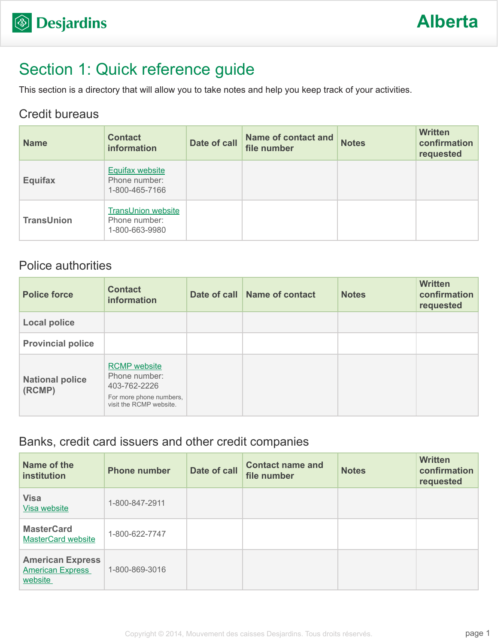# Section 1: Quick reference guide

This section is a directory that will allow you to take notes and help you keep track of your activities.

#### Credit bureaus

| <b>Name</b>       | <b>Contact</b><br>information                                | Date of call | <b>Name of contact and</b><br>file number | <b>Notes</b> | <b>Written</b><br>confirmation<br>requested |
|-------------------|--------------------------------------------------------------|--------------|-------------------------------------------|--------------|---------------------------------------------|
| <b>Equifax</b>    | <b>Equifax website</b><br>Phone number:<br>1-800-465-7166    |              |                                           |              |                                             |
| <b>TransUnion</b> | <b>TransUnion website</b><br>Phone number:<br>1-800-663-9980 |              |                                           |              |                                             |

#### Police authorities

| <b>Police force</b>              | <b>Contact</b><br><b>information</b>                                                                       | Date of call Name of contact | <b>Notes</b> | <b>Written</b><br>confirmation<br>requested |
|----------------------------------|------------------------------------------------------------------------------------------------------------|------------------------------|--------------|---------------------------------------------|
| <b>Local police</b>              |                                                                                                            |                              |              |                                             |
| <b>Provincial police</b>         |                                                                                                            |                              |              |                                             |
| <b>National police</b><br>(RCMP) | <b>RCMP</b> website<br>Phone number:<br>403-762-2226<br>For more phone numbers,<br>visit the RCMP website. |                              |              |                                             |

#### Banks, credit card issuers and other credit companies

| Name of the<br>institution                                    | <b>Phone number</b> | Date of call | <b>Contact name and</b><br>file number | <b>Notes</b> | <b>Written</b><br>confirmation<br>requested |
|---------------------------------------------------------------|---------------------|--------------|----------------------------------------|--------------|---------------------------------------------|
| <b>Visa</b><br>Visa website                                   | 1-800-847-2911      |              |                                        |              |                                             |
| <b>MasterCard</b><br><b>MasterCard website</b>                | 1-800-622-7747      |              |                                        |              |                                             |
| <b>American Express</b><br><b>American Express</b><br>website | 1-800-869-3016      |              |                                        |              |                                             |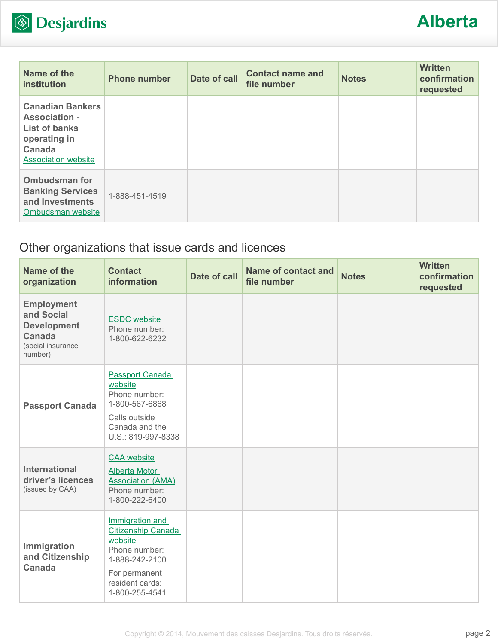

| Name of the<br><b>institution</b>                                                                                                      | <b>Phone number</b> | Date of call | <b>Contact name and</b><br>file number | <b>Notes</b> | <b>Written</b><br>confirmation<br>requested |
|----------------------------------------------------------------------------------------------------------------------------------------|---------------------|--------------|----------------------------------------|--------------|---------------------------------------------|
| <b>Canadian Bankers</b><br><b>Association -</b><br><b>List of banks</b><br>operating in<br><b>Canada</b><br><b>Association website</b> |                     |              |                                        |              |                                             |
| <b>Ombudsman for</b><br><b>Banking Services</b><br>and Investments<br>Ombudsman website                                                | 1-888-451-4519      |              |                                        |              |                                             |

## Other organizations that issue cards and licences

| Name of the<br>organization                                                                     | <b>Contact</b><br>information                                                                                                                    | Date of call | <b>Name of contact and</b><br>file number | <b>Notes</b> | <b>Written</b><br>confirmation<br>requested |
|-------------------------------------------------------------------------------------------------|--------------------------------------------------------------------------------------------------------------------------------------------------|--------------|-------------------------------------------|--------------|---------------------------------------------|
| <b>Employment</b><br>and Social<br><b>Development</b><br>Canada<br>(social insurance<br>number) | <b>ESDC</b> website<br>Phone number:<br>1-800-622-6232                                                                                           |              |                                           |              |                                             |
| <b>Passport Canada</b>                                                                          | Passport Canada<br>website<br>Phone number:<br>1-800-567-6868<br>Calls outside<br>Canada and the<br>U.S.: 819-997-8338                           |              |                                           |              |                                             |
| <b>International</b><br>driver's licences<br>(issued by CAA)                                    | <b>CAA</b> website<br><b>Alberta Motor</b><br><b>Association (AMA)</b><br>Phone number:<br>1-800-222-6400                                        |              |                                           |              |                                             |
| Immigration<br>and Citizenship<br><b>Canada</b>                                                 | Immigration and<br><b>Citizenship Canada</b><br>website<br>Phone number:<br>1-888-242-2100<br>For permanent<br>resident cards:<br>1-800-255-4541 |              |                                           |              |                                             |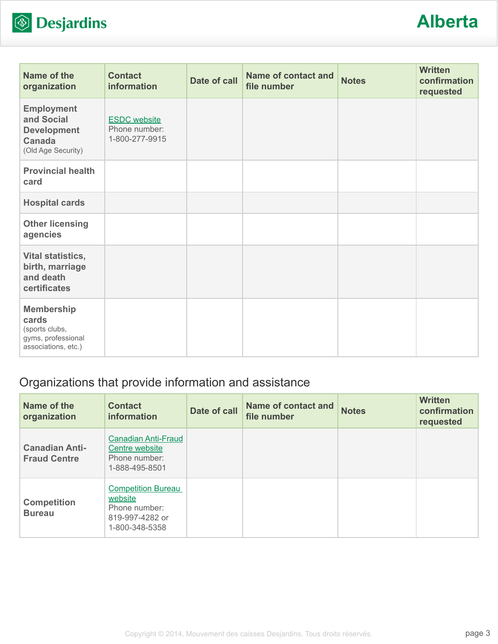

# **Alberta**

| Name of the<br>organization                                                               | <b>Contact</b><br>information                          | Date of call | <b>Name of contact and</b><br>file number | <b>Notes</b> | <b>Written</b><br>confirmation<br>requested |
|-------------------------------------------------------------------------------------------|--------------------------------------------------------|--------------|-------------------------------------------|--------------|---------------------------------------------|
| <b>Employment</b><br>and Social<br><b>Development</b><br>Canada<br>(Old Age Security)     | <b>ESDC</b> website<br>Phone number:<br>1-800-277-9915 |              |                                           |              |                                             |
| <b>Provincial health</b><br>card                                                          |                                                        |              |                                           |              |                                             |
| <b>Hospital cards</b>                                                                     |                                                        |              |                                           |              |                                             |
| <b>Other licensing</b><br>agencies                                                        |                                                        |              |                                           |              |                                             |
| Vital statistics,<br>birth, marriage<br>and death<br>certificates                         |                                                        |              |                                           |              |                                             |
| <b>Membership</b><br>cards<br>(sports clubs,<br>gyms, professional<br>associations, etc.) |                                                        |              |                                           |              |                                             |

#### Organizations that provide information and assistance

| Name of the<br>organization                  | <b>Contact</b><br><b>information</b>                                                       | Date of call | <b>Name of contact and</b><br>file number | <b>Notes</b> | <b>Written</b><br>confirmation<br>requested |
|----------------------------------------------|--------------------------------------------------------------------------------------------|--------------|-------------------------------------------|--------------|---------------------------------------------|
| <b>Canadian Anti-</b><br><b>Fraud Centre</b> | <b>Canadian Anti-Fraud</b><br>Centre website<br>Phone number:<br>1-888-495-8501            |              |                                           |              |                                             |
| <b>Competition</b><br><b>Bureau</b>          | <b>Competition Bureau</b><br>website<br>Phone number:<br>819-997-4282 or<br>1-800-348-5358 |              |                                           |              |                                             |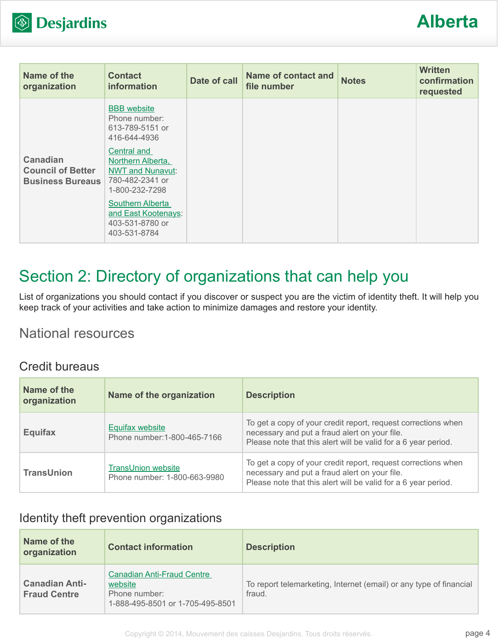

| Name of the<br>organization                                            | <b>Contact</b><br><b>information</b>                                                                                                                                                                                                                     | Date of call | <b>Name of contact and</b><br>file number | <b>Notes</b> | <b>Written</b><br>confirmation<br>requested |
|------------------------------------------------------------------------|----------------------------------------------------------------------------------------------------------------------------------------------------------------------------------------------------------------------------------------------------------|--------------|-------------------------------------------|--------------|---------------------------------------------|
| <b>Canadian</b><br><b>Council of Better</b><br><b>Business Bureaus</b> | <b>BBB</b> website<br>Phone number:<br>613-789-5151 or<br>416-644-4936<br>Central and<br>Northern Alberta,<br><b>NWT and Nunavut:</b><br>780-482-2341 or<br>1-800-232-7298<br>Southern Alberta<br>and East Kootenays:<br>403-531-8780 or<br>403-531-8784 |              |                                           |              |                                             |

# Section 2: Directory of organizations that can help you

List of organizations you should contact if you discover or suspect you are the victim of identity theft. It will help you keep track of your activities and take action to minimize damages and restore your identity.

### National resources

#### Credit bureaus

| Name of the<br>organization | Name of the organization                                  | <b>Description</b>                                                                                                                                                               |
|-----------------------------|-----------------------------------------------------------|----------------------------------------------------------------------------------------------------------------------------------------------------------------------------------|
| <b>Equifax</b>              | Equifax website<br>Phone number: 1-800-465-7166           | To get a copy of your credit report, request corrections when<br>necessary and put a fraud alert on your file.<br>Please note that this alert will be valid for a 6 year period. |
| <b>TransUnion</b>           | <b>TransUnion website</b><br>Phone number: 1-800-663-9980 | To get a copy of your credit report, request corrections when<br>necessary and put a fraud alert on your file.<br>Please note that this alert will be valid for a 6 year period. |

#### Identity theft prevention organizations

| Name of the<br>organization                  | <b>Contact information</b>                                                                        | <b>Description</b>                                                           |
|----------------------------------------------|---------------------------------------------------------------------------------------------------|------------------------------------------------------------------------------|
| <b>Canadian Anti-</b><br><b>Fraud Centre</b> | <b>Canadian Anti-Fraud Centre</b><br>website<br>Phone number:<br>1-888-495-8501 or 1-705-495-8501 | To report telemarketing, Internet (email) or any type of financial<br>fraud. |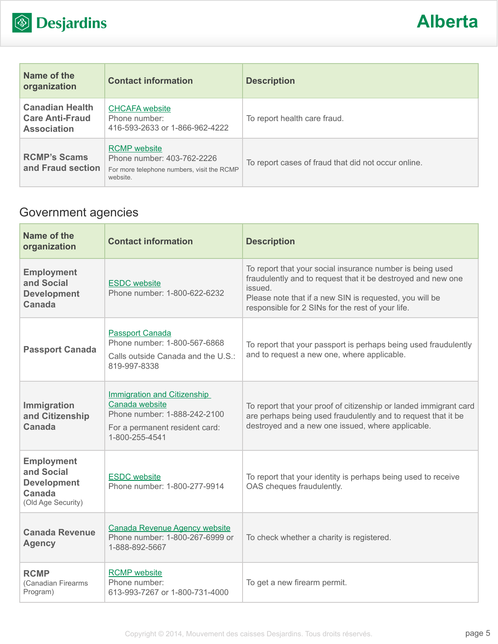

| Name of the<br>organization                                            | <b>Contact information</b>                                                                                  | <b>Description</b>                                  |
|------------------------------------------------------------------------|-------------------------------------------------------------------------------------------------------------|-----------------------------------------------------|
| <b>Canadian Health</b><br><b>Care Anti-Fraud</b><br><b>Association</b> | <b>CHCAFA</b> website<br>Phone number:<br>416-593-2633 or 1-866-962-4222                                    | To report health care fraud.                        |
| <b>RCMP's Scams</b><br>and Fraud section                               | <b>RCMP</b> website<br>Phone number: 403-762-2226<br>For more telephone numbers, visit the RCMP<br>website. | To report cases of fraud that did not occur online. |

## Government agencies

| Name of the<br>organization                                                           | <b>Contact information</b>                                                                                                        | <b>Description</b>                                                                                                                                                                                                                                   |
|---------------------------------------------------------------------------------------|-----------------------------------------------------------------------------------------------------------------------------------|------------------------------------------------------------------------------------------------------------------------------------------------------------------------------------------------------------------------------------------------------|
| <b>Employment</b><br>and Social<br><b>Development</b><br>Canada                       | <b>ESDC</b> website<br>Phone number: 1-800-622-6232                                                                               | To report that your social insurance number is being used<br>fraudulently and to request that it be destroyed and new one<br>issued.<br>Please note that if a new SIN is requested, you will be<br>responsible for 2 SINs for the rest of your life. |
| <b>Passport Canada</b>                                                                | <b>Passport Canada</b><br>Phone number: 1-800-567-6868<br>Calls outside Canada and the U.S.:<br>819-997-8338                      | To report that your passport is perhaps being used fraudulently<br>and to request a new one, where applicable.                                                                                                                                       |
| Immigration<br>and Citizenship<br>Canada                                              | Immigration and Citizenship<br>Canada website<br>Phone number: 1-888-242-2100<br>For a permanent resident card:<br>1-800-255-4541 | To report that your proof of citizenship or landed immigrant card<br>are perhaps being used fraudulently and to request that it be<br>destroyed and a new one issued, where applicable.                                                              |
| <b>Employment</b><br>and Social<br><b>Development</b><br>Canada<br>(Old Age Security) | <b>ESDC</b> website<br>Phone number: 1-800-277-9914                                                                               | To report that your identity is perhaps being used to receive<br>OAS cheques fraudulently.                                                                                                                                                           |
| <b>Canada Revenue</b><br><b>Agency</b>                                                | <b>Canada Revenue Agency website</b><br>Phone number: 1-800-267-6999 or<br>1-888-892-5667                                         | To check whether a charity is registered.                                                                                                                                                                                                            |
| <b>RCMP</b><br>(Canadian Firearms<br>Program)                                         | <b>RCMP</b> website<br>Phone number:<br>613-993-7267 or 1-800-731-4000                                                            | To get a new firearm permit.                                                                                                                                                                                                                         |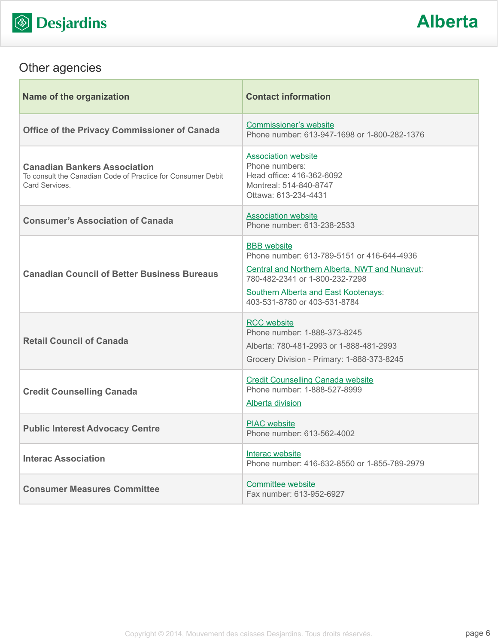

## Other agencies

| Name of the organization                                                                                             | <b>Contact information</b>                                                                                                                                                                                                   |
|----------------------------------------------------------------------------------------------------------------------|------------------------------------------------------------------------------------------------------------------------------------------------------------------------------------------------------------------------------|
| <b>Office of the Privacy Commissioner of Canada</b>                                                                  | <b>Commissioner's website</b><br>Phone number: 613-947-1698 or 1-800-282-1376                                                                                                                                                |
| <b>Canadian Bankers Association</b><br>To consult the Canadian Code of Practice for Consumer Debit<br>Card Services. | <b>Association website</b><br>Phone numbers:<br>Head office: 416-362-6092<br>Montreal: 514-840-8747<br>Ottawa: 613-234-4431                                                                                                  |
| <b>Consumer's Association of Canada</b>                                                                              | <b>Association website</b><br>Phone number: 613-238-2533                                                                                                                                                                     |
| <b>Canadian Council of Better Business Bureaus</b>                                                                   | <b>BBB</b> website<br>Phone number: 613-789-5151 or 416-644-4936<br>Central and Northern Alberta, NWT and Nunavut:<br>780-482-2341 or 1-800-232-7298<br>Southern Alberta and East Kootenays:<br>403-531-8780 or 403-531-8784 |
| <b>Retail Council of Canada</b>                                                                                      | <b>RCC</b> website<br>Phone number: 1-888-373-8245<br>Alberta: 780-481-2993 or 1-888-481-2993<br>Grocery Division - Primary: 1-888-373-8245                                                                                  |
| <b>Credit Counselling Canada</b>                                                                                     | <b>Credit Counselling Canada website</b><br>Phone number: 1-888-527-8999<br>Alberta division                                                                                                                                 |
| <b>Public Interest Advocacy Centre</b>                                                                               | <b>PIAC</b> website<br>Phone number: 613-562-4002                                                                                                                                                                            |
| <b>Interac Association</b>                                                                                           | Interac website<br>Phone number: 416-632-8550 or 1-855-789-2979                                                                                                                                                              |
| <b>Consumer Measures Committee</b>                                                                                   | <b>Committee website</b><br>Fax number: 613-952-6927                                                                                                                                                                         |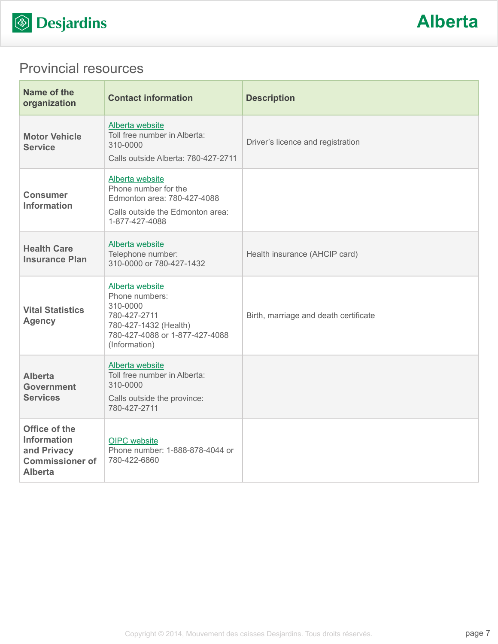

## Provincial resources

| Name of the<br>organization                                                                    | <b>Contact information</b>                                                                                                                | <b>Description</b>                    |
|------------------------------------------------------------------------------------------------|-------------------------------------------------------------------------------------------------------------------------------------------|---------------------------------------|
| <b>Motor Vehicle</b><br><b>Service</b>                                                         | Alberta website<br>Toll free number in Alberta:<br>310-0000<br>Calls outside Alberta: 780-427-2711                                        | Driver's licence and registration     |
| <b>Consumer</b><br><b>Information</b>                                                          | Alberta website<br>Phone number for the<br>Edmonton area: 780-427-4088<br>Calls outside the Edmonton area:<br>1-877-427-4088              |                                       |
| <b>Health Care</b><br><b>Insurance Plan</b>                                                    | Alberta website<br>Telephone number:<br>310-0000 or 780-427-1432                                                                          | Health insurance (AHCIP card)         |
| <b>Vital Statistics</b><br><b>Agency</b>                                                       | Alberta website<br>Phone numbers:<br>310-0000<br>780-427-2711<br>780-427-1432 (Health)<br>780-427-4088 or 1-877-427-4088<br>(Information) | Birth, marriage and death certificate |
| <b>Alberta</b><br><b>Government</b><br><b>Services</b>                                         | Alberta website<br>Toll free number in Alberta:<br>310-0000<br>Calls outside the province:<br>780-427-2711                                |                                       |
| Office of the<br><b>Information</b><br>and Privacy<br><b>Commissioner of</b><br><b>Alberta</b> | <b>OIPC</b> website<br>Phone number: 1-888-878-4044 or<br>780-422-6860                                                                    |                                       |